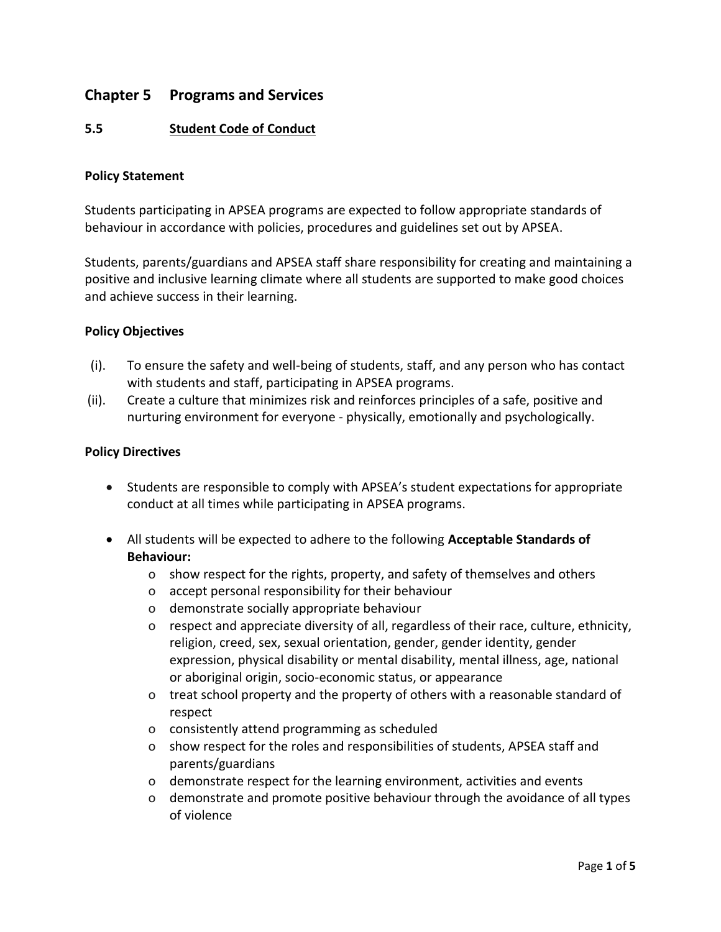# **Chapter 5 Programs and Services**

## **5.5 Student Code of Conduct**

#### **Policy Statement**

Students participating in APSEA programs are expected to follow appropriate standards of behaviour in accordance with policies, procedures and guidelines set out by APSEA.

Students, parents/guardians and APSEA staff share responsibility for creating and maintaining a positive and inclusive learning climate where all students are supported to make good choices and achieve success in their learning.

#### **Policy Objectives**

- (i). To ensure the safety and well-being of students, staff, and any person who has contact with students and staff, participating in APSEA programs.
- (ii). Create a culture that minimizes risk and reinforces principles of a safe, positive and nurturing environment for everyone - physically, emotionally and psychologically.

#### **Policy Directives**

- Students are responsible to comply with APSEA's student expectations for appropriate conduct at all times while participating in APSEA programs.
- All students will be expected to adhere to the following **Acceptable Standards of Behaviour:**
	- o show respect for the rights, property, and safety of themselves and others
	- o accept personal responsibility for their behaviour
	- o demonstrate socially appropriate behaviour
	- o respect and appreciate diversity of all, regardless of their race, culture, ethnicity, religion, creed, sex, sexual orientation, gender, gender identity, gender expression, physical disability or mental disability, mental illness, age, national or aboriginal origin, socio-economic status, or appearance
	- o treat school property and the property of others with a reasonable standard of respect
	- o consistently attend programming as scheduled
	- o show respect for the roles and responsibilities of students, APSEA staff and parents/guardians
	- o demonstrate respect for the learning environment, activities and events
	- o demonstrate and promote positive behaviour through the avoidance of all types of violence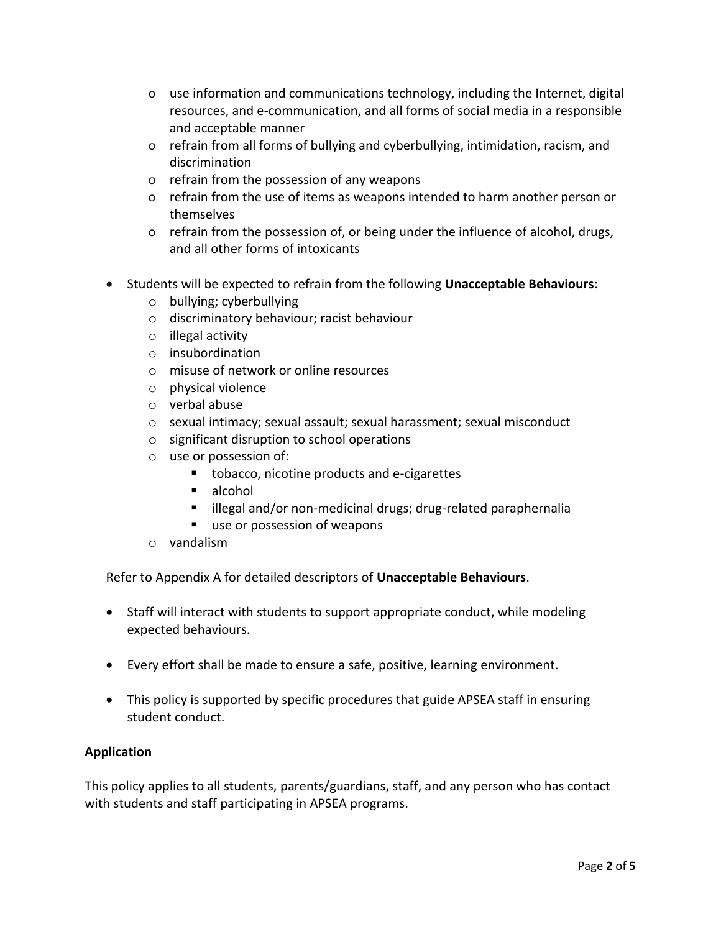- o use information and communications technology, including the Internet, digital resources, and e-communication, and all forms of social media in a responsible and acceptable manner
- o refrain from all forms of bullying and cyberbullying, intimidation, racism, and discrimination
- o refrain from the possession of any weapons
- o refrain from the use of items as weapons intended to harm another person or themselves
- o refrain from the possession of, or being under the influence of alcohol, drugs, and all other forms of intoxicants
- Students will be expected to refrain from the following **Unacceptable Behaviours**:
	- o bullying; cyberbullying
	- o discriminatory behaviour; racist behaviour
	- o illegal activity
	- o insubordination
	- o misuse of network or online resources
	- o physical violence
	- o verbal abuse
	- o sexual intimacy; sexual assault; sexual harassment; sexual misconduct
	- o significant disruption to school operations
	- o use or possession of:
		- tobacco, nicotine products and e-cigarettes
		- alcohol
		- illegal and/or non-medicinal drugs; drug-related paraphernalia
		- use or possession of weapons
	- o vandalism

Refer to Appendix A for detailed descriptors of **Unacceptable Behaviours**.

- Staff will interact with students to support appropriate conduct, while modeling expected behaviours.
- Every effort shall be made to ensure a safe, positive, learning environment.
- This policy is supported by specific procedures that guide APSEA staff in ensuring student conduct.

## **Application**

This policy applies to all students, parents/guardians, staff, and any person who has contact with students and staff participating in APSEA programs.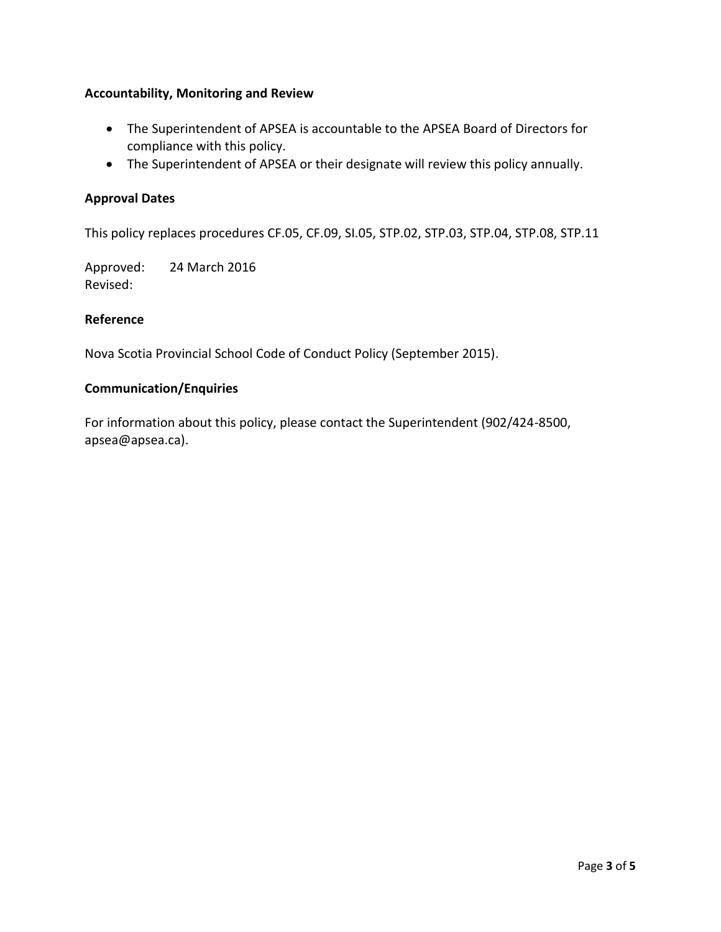## **Accountability, Monitoring and Review**

- The Superintendent of APSEA is accountable to the APSEA Board of Directors for compliance with this policy.
- The Superintendent of APSEA or their designate will review this policy annually.

## **Approval Dates**

This policy replaces procedures CF.05, CF.09, SI.05, STP.02, STP.03, STP.04, STP.08, STP.11

Approved: 24 March 2016 Revised:

## **Reference**

Nova Scotia Provincial School Code of Conduct Policy (September 2015).

#### **Communication/Enquiries**

For information about this policy, please contact the Superintendent (902/424-8500, apsea@apsea.ca).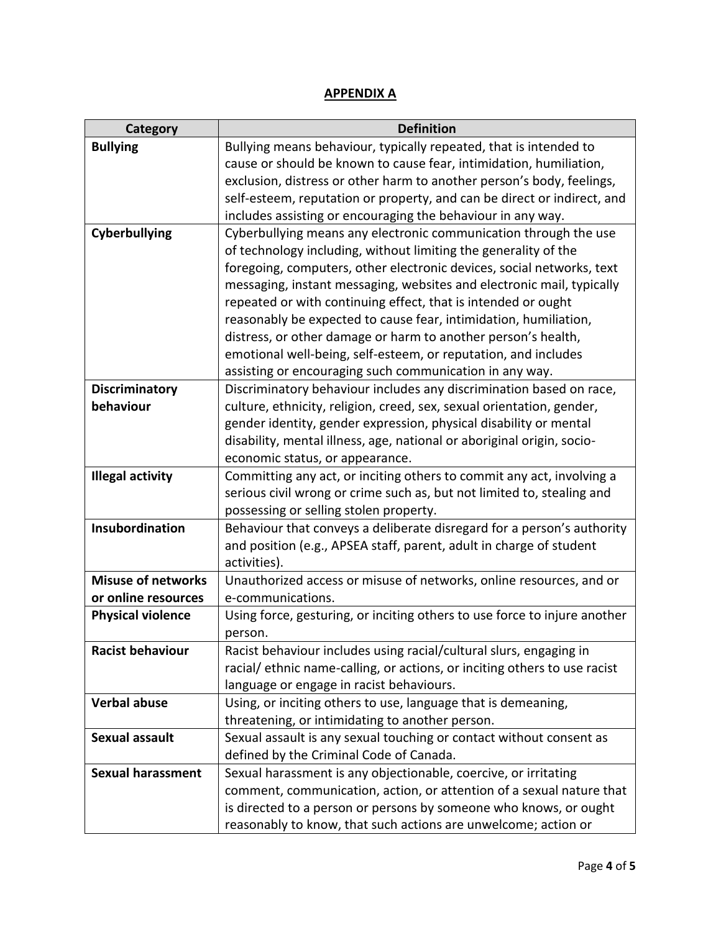# **APPENDIX A**

| Category                  | <b>Definition</b>                                                         |
|---------------------------|---------------------------------------------------------------------------|
| <b>Bullying</b>           | Bullying means behaviour, typically repeated, that is intended to         |
|                           | cause or should be known to cause fear, intimidation, humiliation,        |
|                           | exclusion, distress or other harm to another person's body, feelings,     |
|                           | self-esteem, reputation or property, and can be direct or indirect, and   |
|                           | includes assisting or encouraging the behaviour in any way.               |
| <b>Cyberbullying</b>      | Cyberbullying means any electronic communication through the use          |
|                           | of technology including, without limiting the generality of the           |
|                           | foregoing, computers, other electronic devices, social networks, text     |
|                           | messaging, instant messaging, websites and electronic mail, typically     |
|                           | repeated or with continuing effect, that is intended or ought             |
|                           | reasonably be expected to cause fear, intimidation, humiliation,          |
|                           | distress, or other damage or harm to another person's health,             |
|                           | emotional well-being, self-esteem, or reputation, and includes            |
|                           | assisting or encouraging such communication in any way.                   |
| <b>Discriminatory</b>     | Discriminatory behaviour includes any discrimination based on race,       |
| behaviour                 | culture, ethnicity, religion, creed, sex, sexual orientation, gender,     |
|                           | gender identity, gender expression, physical disability or mental         |
|                           | disability, mental illness, age, national or aboriginal origin, socio-    |
|                           | economic status, or appearance.                                           |
| <b>Illegal activity</b>   | Committing any act, or inciting others to commit any act, involving a     |
|                           | serious civil wrong or crime such as, but not limited to, stealing and    |
|                           | possessing or selling stolen property.                                    |
| Insubordination           | Behaviour that conveys a deliberate disregard for a person's authority    |
|                           | and position (e.g., APSEA staff, parent, adult in charge of student       |
|                           | activities).                                                              |
| <b>Misuse of networks</b> | Unauthorized access or misuse of networks, online resources, and or       |
| or online resources       | e-communications.                                                         |
| <b>Physical violence</b>  | Using force, gesturing, or inciting others to use force to injure another |
|                           | person.                                                                   |
| <b>Racist behaviour</b>   | Racist behaviour includes using racial/cultural slurs, engaging in        |
|                           | racial/ ethnic name-calling, or actions, or inciting others to use racist |
|                           | language or engage in racist behaviours.                                  |
| <b>Verbal abuse</b>       | Using, or inciting others to use, language that is demeaning,             |
|                           | threatening, or intimidating to another person.                           |
| <b>Sexual assault</b>     | Sexual assault is any sexual touching or contact without consent as       |
|                           | defined by the Criminal Code of Canada.                                   |
| <b>Sexual harassment</b>  | Sexual harassment is any objectionable, coercive, or irritating           |
|                           | comment, communication, action, or attention of a sexual nature that      |
|                           | is directed to a person or persons by someone who knows, or ought         |
|                           | reasonably to know, that such actions are unwelcome; action or            |